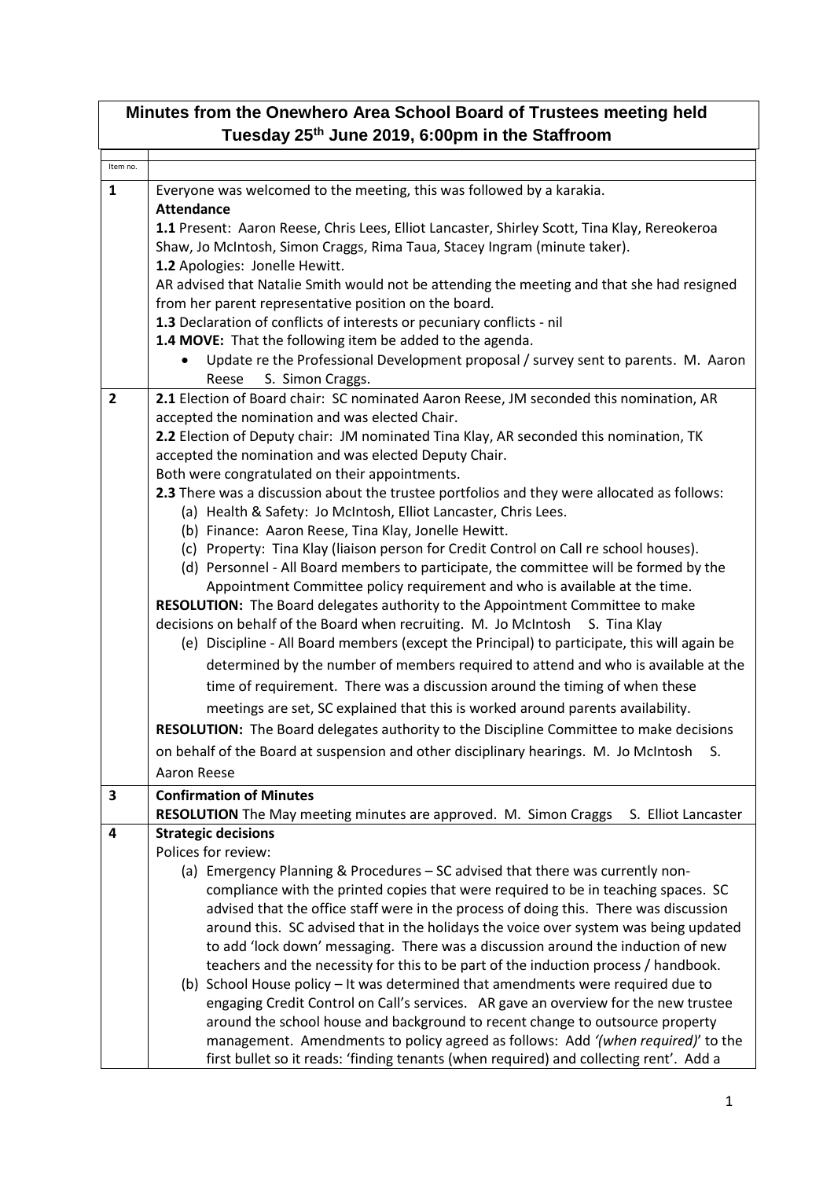| Minutes from the Onewhero Area School Board of Trustees meeting held |                                                                                                                                     |  |
|----------------------------------------------------------------------|-------------------------------------------------------------------------------------------------------------------------------------|--|
|                                                                      | Tuesday 25 <sup>th</sup> June 2019, 6:00pm in the Staffroom                                                                         |  |
| Item no.                                                             |                                                                                                                                     |  |
| $\mathbf{1}$                                                         | Everyone was welcomed to the meeting, this was followed by a karakia.                                                               |  |
|                                                                      | <b>Attendance</b>                                                                                                                   |  |
|                                                                      | 1.1 Present: Aaron Reese, Chris Lees, Elliot Lancaster, Shirley Scott, Tina Klay, Rereokeroa                                        |  |
|                                                                      | Shaw, Jo McIntosh, Simon Craggs, Rima Taua, Stacey Ingram (minute taker).                                                           |  |
|                                                                      | 1.2 Apologies: Jonelle Hewitt.                                                                                                      |  |
|                                                                      | AR advised that Natalie Smith would not be attending the meeting and that she had resigned                                          |  |
|                                                                      | from her parent representative position on the board.                                                                               |  |
|                                                                      | 1.3 Declaration of conflicts of interests or pecuniary conflicts - nil<br>1.4 MOVE: That the following item be added to the agenda. |  |
|                                                                      | Update re the Professional Development proposal / survey sent to parents. M. Aaron                                                  |  |
|                                                                      | Reese<br>S. Simon Craggs.                                                                                                           |  |
| $\overline{2}$                                                       | 2.1 Election of Board chair: SC nominated Aaron Reese, JM seconded this nomination, AR                                              |  |
|                                                                      | accepted the nomination and was elected Chair.                                                                                      |  |
|                                                                      | 2.2 Election of Deputy chair: JM nominated Tina Klay, AR seconded this nomination, TK                                               |  |
|                                                                      | accepted the nomination and was elected Deputy Chair.                                                                               |  |
|                                                                      | Both were congratulated on their appointments.                                                                                      |  |
|                                                                      | 2.3 There was a discussion about the trustee portfolios and they were allocated as follows:                                         |  |
|                                                                      | (a) Health & Safety: Jo McIntosh, Elliot Lancaster, Chris Lees.                                                                     |  |
|                                                                      | (b) Finance: Aaron Reese, Tina Klay, Jonelle Hewitt.                                                                                |  |
|                                                                      | (c) Property: Tina Klay (liaison person for Credit Control on Call re school houses).                                               |  |
|                                                                      | (d) Personnel - All Board members to participate, the committee will be formed by the                                               |  |
|                                                                      | Appointment Committee policy requirement and who is available at the time.                                                          |  |
|                                                                      | RESOLUTION: The Board delegates authority to the Appointment Committee to make                                                      |  |
|                                                                      | decisions on behalf of the Board when recruiting. M. Jo McIntosh S. Tina Klay                                                       |  |
|                                                                      | (e) Discipline - All Board members (except the Principal) to participate, this will again be                                        |  |
|                                                                      | determined by the number of members required to attend and who is available at the                                                  |  |
|                                                                      | time of requirement. There was a discussion around the timing of when these                                                         |  |
|                                                                      | meetings are set, SC explained that this is worked around parents availability.                                                     |  |
|                                                                      | RESOLUTION: The Board delegates authority to the Discipline Committee to make decisions                                             |  |
|                                                                      | on behalf of the Board at suspension and other disciplinary hearings. M. Jo McIntosh<br>S.                                          |  |
|                                                                      | Aaron Reese                                                                                                                         |  |
| 3                                                                    | <b>Confirmation of Minutes</b>                                                                                                      |  |
|                                                                      | RESOLUTION The May meeting minutes are approved. M. Simon Craggs<br>S. Elliot Lancaster                                             |  |
| 4                                                                    | <b>Strategic decisions</b>                                                                                                          |  |
|                                                                      | Polices for review:                                                                                                                 |  |
|                                                                      | (a) Emergency Planning & Procedures - SC advised that there was currently non-                                                      |  |
|                                                                      | compliance with the printed copies that were required to be in teaching spaces. SC                                                  |  |
|                                                                      | advised that the office staff were in the process of doing this. There was discussion                                               |  |
|                                                                      | around this. SC advised that in the holidays the voice over system was being updated                                                |  |
|                                                                      | to add 'lock down' messaging. There was a discussion around the induction of new                                                    |  |
|                                                                      | teachers and the necessity for this to be part of the induction process / handbook.                                                 |  |
|                                                                      | (b) School House policy - It was determined that amendments were required due to                                                    |  |
|                                                                      | engaging Credit Control on Call's services. AR gave an overview for the new trustee                                                 |  |
|                                                                      | around the school house and background to recent change to outsource property                                                       |  |
|                                                                      | management. Amendments to policy agreed as follows: Add '(when required)' to the                                                    |  |
|                                                                      | first bullet so it reads: 'finding tenants (when required) and collecting rent'. Add a                                              |  |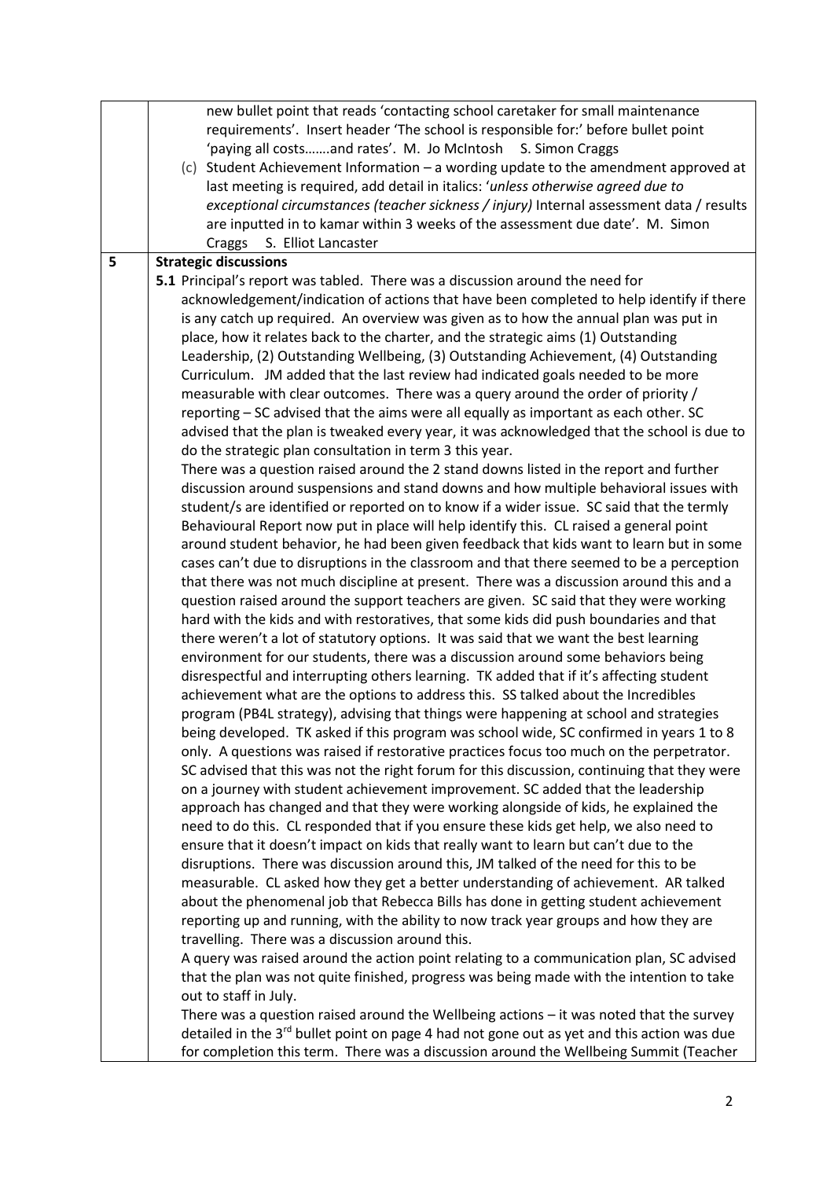|   | new bullet point that reads 'contacting school caretaker for small maintenance                         |
|---|--------------------------------------------------------------------------------------------------------|
|   | requirements'. Insert header 'The school is responsible for:' before bullet point                      |
|   | 'paying all costsand rates'. M. Jo McIntosh S. Simon Craggs                                            |
|   | (c) Student Achievement Information - a wording update to the amendment approved at                    |
|   | last meeting is required, add detail in italics: 'unless otherwise agreed due to                       |
|   | exceptional circumstances (teacher sickness / injury) Internal assessment data / results               |
|   | are inputted in to kamar within 3 weeks of the assessment due date'. M. Simon                          |
|   | Craggs S. Elliot Lancaster                                                                             |
| 5 | <b>Strategic discussions</b>                                                                           |
|   | 5.1 Principal's report was tabled. There was a discussion around the need for                          |
|   | acknowledgement/indication of actions that have been completed to help identify if there               |
|   |                                                                                                        |
|   | is any catch up required. An overview was given as to how the annual plan was put in                   |
|   | place, how it relates back to the charter, and the strategic aims (1) Outstanding                      |
|   | Leadership, (2) Outstanding Wellbeing, (3) Outstanding Achievement, (4) Outstanding                    |
|   | Curriculum. JM added that the last review had indicated goals needed to be more                        |
|   | measurable with clear outcomes. There was a query around the order of priority /                       |
|   | reporting - SC advised that the aims were all equally as important as each other. SC                   |
|   | advised that the plan is tweaked every year, it was acknowledged that the school is due to             |
|   | do the strategic plan consultation in term 3 this year.                                                |
|   | There was a question raised around the 2 stand downs listed in the report and further                  |
|   | discussion around suspensions and stand downs and how multiple behavioral issues with                  |
|   | student/s are identified or reported on to know if a wider issue. SC said that the termly              |
|   | Behavioural Report now put in place will help identify this. CL raised a general point                 |
|   | around student behavior, he had been given feedback that kids want to learn but in some                |
|   | cases can't due to disruptions in the classroom and that there seemed to be a perception               |
|   | that there was not much discipline at present. There was a discussion around this and a                |
|   | question raised around the support teachers are given. SC said that they were working                  |
|   | hard with the kids and with restoratives, that some kids did push boundaries and that                  |
|   | there weren't a lot of statutory options. It was said that we want the best learning                   |
|   | environment for our students, there was a discussion around some behaviors being                       |
|   | disrespectful and interrupting others learning. TK added that if it's affecting student                |
|   | achievement what are the options to address this. SS talked about the Incredibles                      |
|   | program (PB4L strategy), advising that things were happening at school and strategies                  |
|   | being developed. TK asked if this program was school wide, SC confirmed in years 1 to 8                |
|   | only. A questions was raised if restorative practices focus too much on the perpetrator.               |
|   | SC advised that this was not the right forum for this discussion, continuing that they were            |
|   | on a journey with student achievement improvement. SC added that the leadership                        |
|   | approach has changed and that they were working alongside of kids, he explained the                    |
|   | need to do this. CL responded that if you ensure these kids get help, we also need to                  |
|   | ensure that it doesn't impact on kids that really want to learn but can't due to the                   |
|   | disruptions. There was discussion around this, JM talked of the need for this to be                    |
|   | measurable. CL asked how they get a better understanding of achievement. AR talked                     |
|   | about the phenomenal job that Rebecca Bills has done in getting student achievement                    |
|   | reporting up and running, with the ability to now track year groups and how they are                   |
|   |                                                                                                        |
|   | travelling. There was a discussion around this.                                                        |
|   | A query was raised around the action point relating to a communication plan, SC advised                |
|   | that the plan was not quite finished, progress was being made with the intention to take               |
|   | out to staff in July.                                                                                  |
|   | There was a question raised around the Wellbeing actions $-$ it was noted that the survey              |
|   | detailed in the 3 <sup>rd</sup> bullet point on page 4 had not gone out as yet and this action was due |
|   | for completion this term. There was a discussion around the Wellbeing Summit (Teacher                  |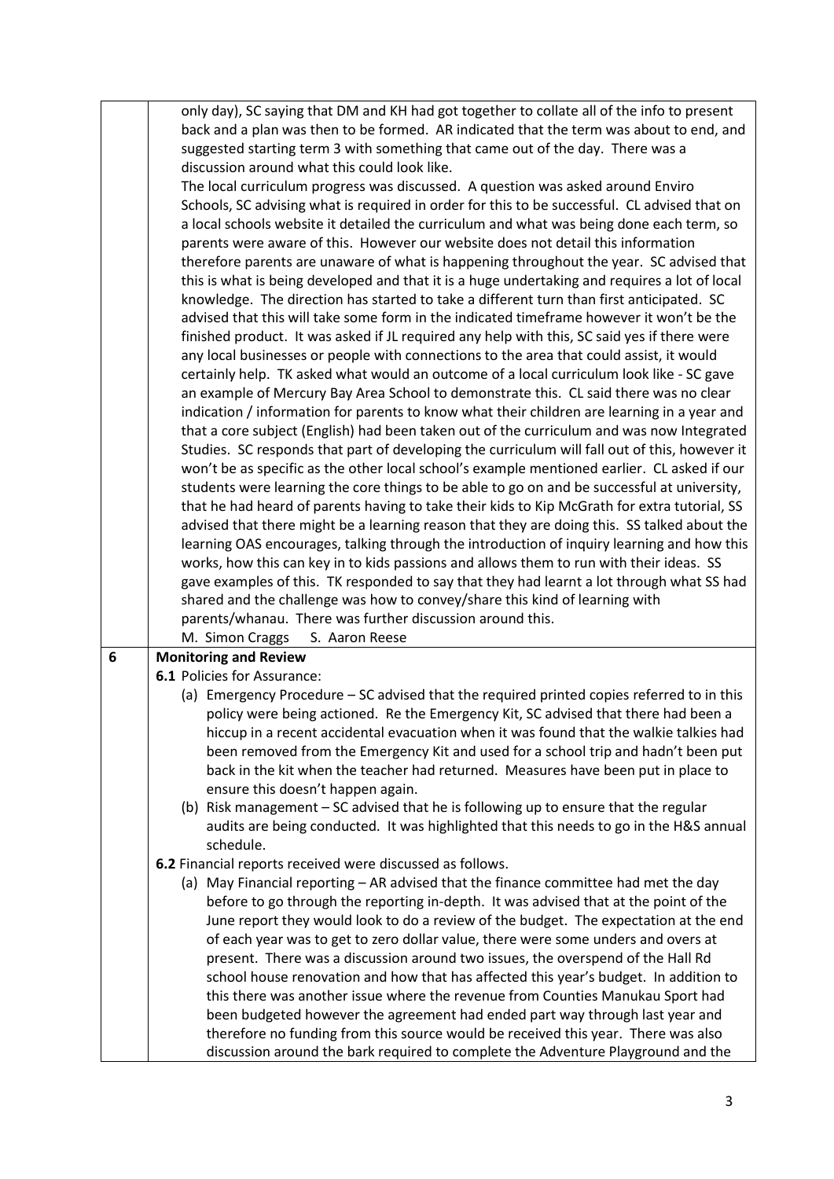|   | only day), SC saying that DM and KH had got together to collate all of the info to present<br>back and a plan was then to be formed. AR indicated that the term was about to end, and<br>suggested starting term 3 with something that came out of the day. There was a<br>discussion around what this could look like.<br>The local curriculum progress was discussed. A question was asked around Enviro<br>Schools, SC advising what is required in order for this to be successful. CL advised that on<br>a local schools website it detailed the curriculum and what was being done each term, so<br>parents were aware of this. However our website does not detail this information<br>therefore parents are unaware of what is happening throughout the year. SC advised that<br>this is what is being developed and that it is a huge undertaking and requires a lot of local<br>knowledge. The direction has started to take a different turn than first anticipated. SC<br>advised that this will take some form in the indicated timeframe however it won't be the<br>finished product. It was asked if JL required any help with this, SC said yes if there were<br>any local businesses or people with connections to the area that could assist, it would<br>certainly help. TK asked what would an outcome of a local curriculum look like - SC gave<br>an example of Mercury Bay Area School to demonstrate this. CL said there was no clear<br>indication / information for parents to know what their children are learning in a year and<br>that a core subject (English) had been taken out of the curriculum and was now Integrated<br>Studies. SC responds that part of developing the curriculum will fall out of this, however it<br>won't be as specific as the other local school's example mentioned earlier. CL asked if our<br>students were learning the core things to be able to go on and be successful at university,<br>that he had heard of parents having to take their kids to Kip McGrath for extra tutorial, SS<br>advised that there might be a learning reason that they are doing this. SS talked about the<br>learning OAS encourages, talking through the introduction of inquiry learning and how this<br>works, how this can key in to kids passions and allows them to run with their ideas. SS |
|---|--------------------------------------------------------------------------------------------------------------------------------------------------------------------------------------------------------------------------------------------------------------------------------------------------------------------------------------------------------------------------------------------------------------------------------------------------------------------------------------------------------------------------------------------------------------------------------------------------------------------------------------------------------------------------------------------------------------------------------------------------------------------------------------------------------------------------------------------------------------------------------------------------------------------------------------------------------------------------------------------------------------------------------------------------------------------------------------------------------------------------------------------------------------------------------------------------------------------------------------------------------------------------------------------------------------------------------------------------------------------------------------------------------------------------------------------------------------------------------------------------------------------------------------------------------------------------------------------------------------------------------------------------------------------------------------------------------------------------------------------------------------------------------------------------------------------------------------------------------------------------------------------------------------------------------------------------------------------------------------------------------------------------------------------------------------------------------------------------------------------------------------------------------------------------------------------------------------------------------------------------------------------------------------------------------------------------------------------------|
|   | gave examples of this. TK responded to say that they had learnt a lot through what SS had<br>shared and the challenge was how to convey/share this kind of learning with                                                                                                                                                                                                                                                                                                                                                                                                                                                                                                                                                                                                                                                                                                                                                                                                                                                                                                                                                                                                                                                                                                                                                                                                                                                                                                                                                                                                                                                                                                                                                                                                                                                                                                                                                                                                                                                                                                                                                                                                                                                                                                                                                                         |
|   | parents/whanau. There was further discussion around this.<br>M. Simon Craggs<br>S. Aaron Reese                                                                                                                                                                                                                                                                                                                                                                                                                                                                                                                                                                                                                                                                                                                                                                                                                                                                                                                                                                                                                                                                                                                                                                                                                                                                                                                                                                                                                                                                                                                                                                                                                                                                                                                                                                                                                                                                                                                                                                                                                                                                                                                                                                                                                                                   |
| 6 | <b>Monitoring and Review</b>                                                                                                                                                                                                                                                                                                                                                                                                                                                                                                                                                                                                                                                                                                                                                                                                                                                                                                                                                                                                                                                                                                                                                                                                                                                                                                                                                                                                                                                                                                                                                                                                                                                                                                                                                                                                                                                                                                                                                                                                                                                                                                                                                                                                                                                                                                                     |
|   | 6.1 Policies for Assurance:                                                                                                                                                                                                                                                                                                                                                                                                                                                                                                                                                                                                                                                                                                                                                                                                                                                                                                                                                                                                                                                                                                                                                                                                                                                                                                                                                                                                                                                                                                                                                                                                                                                                                                                                                                                                                                                                                                                                                                                                                                                                                                                                                                                                                                                                                                                      |
|   | (a) Emergency Procedure – SC advised that the required printed copies referred to in this<br>policy were being actioned. Re the Emergency Kit, SC advised that there had been a<br>hiccup in a recent accidental evacuation when it was found that the walkie talkies had<br>been removed from the Emergency Kit and used for a school trip and hadn't been put<br>back in the kit when the teacher had returned. Measures have been put in place to<br>ensure this doesn't happen again.<br>(b) Risk management - SC advised that he is following up to ensure that the regular<br>audits are being conducted. It was highlighted that this needs to go in the H&S annual<br>schedule.                                                                                                                                                                                                                                                                                                                                                                                                                                                                                                                                                                                                                                                                                                                                                                                                                                                                                                                                                                                                                                                                                                                                                                                                                                                                                                                                                                                                                                                                                                                                                                                                                                                          |
|   | 6.2 Financial reports received were discussed as follows.<br>(a) May Financial reporting - AR advised that the finance committee had met the day<br>before to go through the reporting in-depth. It was advised that at the point of the<br>June report they would look to do a review of the budget. The expectation at the end<br>of each year was to get to zero dollar value, there were some unders and overs at<br>present. There was a discussion around two issues, the overspend of the Hall Rd<br>school house renovation and how that has affected this year's budget. In addition to<br>this there was another issue where the revenue from Counties Manukau Sport had<br>been budgeted however the agreement had ended part way through last year and<br>therefore no funding from this source would be received this year. There was also<br>discussion around the bark required to complete the Adventure Playground and the                                                                                                                                                                                                                                                                                                                                                                                                                                                                                                                                                                                                                                                                                                                                                                                                                                                                                                                                                                                                                                                                                                                                                                                                                                                                                                                                                                                                      |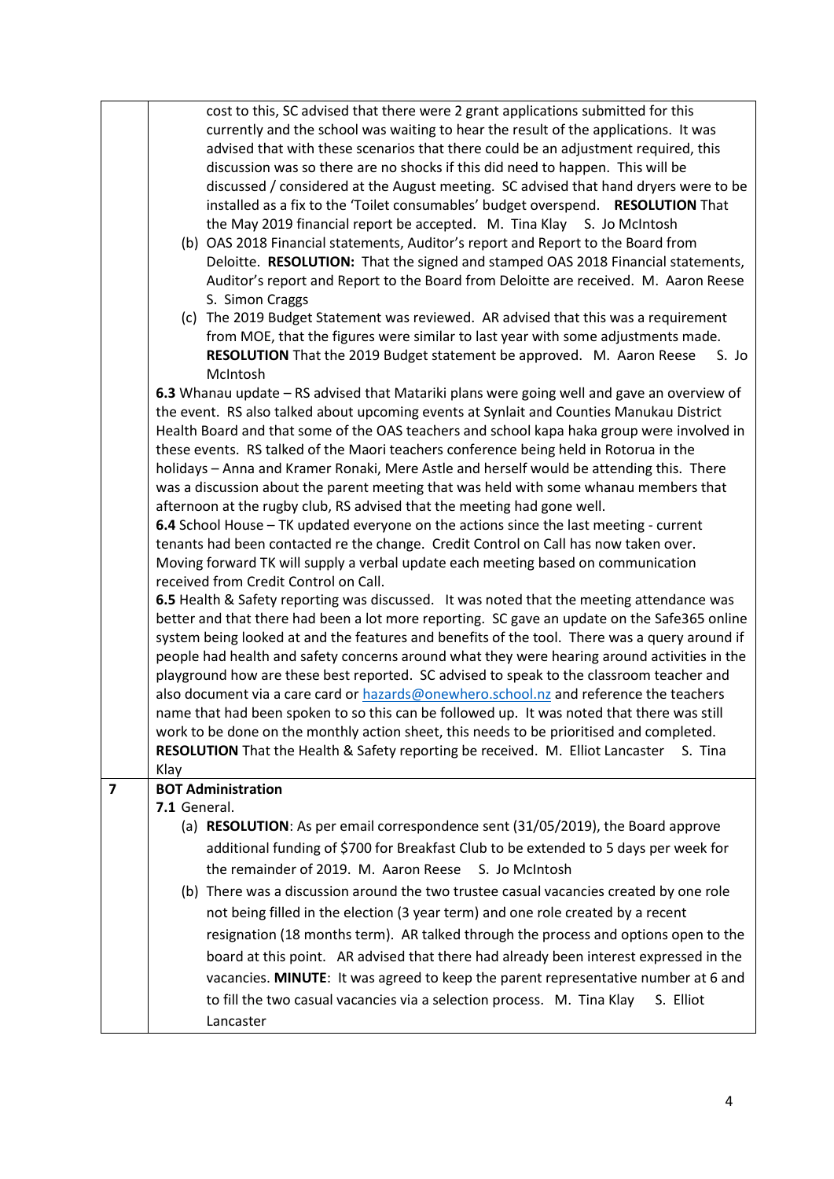|   | cost to this, SC advised that there were 2 grant applications submitted for this                                                                                                              |
|---|-----------------------------------------------------------------------------------------------------------------------------------------------------------------------------------------------|
|   | currently and the school was waiting to hear the result of the applications. It was                                                                                                           |
|   | advised that with these scenarios that there could be an adjustment required, this                                                                                                            |
|   | discussion was so there are no shocks if this did need to happen. This will be                                                                                                                |
|   | discussed / considered at the August meeting. SC advised that hand dryers were to be                                                                                                          |
|   | installed as a fix to the 'Toilet consumables' budget overspend. RESOLUTION That                                                                                                              |
|   | the May 2019 financial report be accepted. M. Tina Klay S. Jo McIntosh                                                                                                                        |
|   | (b) OAS 2018 Financial statements, Auditor's report and Report to the Board from                                                                                                              |
|   | Deloitte. RESOLUTION: That the signed and stamped OAS 2018 Financial statements,                                                                                                              |
|   | Auditor's report and Report to the Board from Deloitte are received. M. Aaron Reese                                                                                                           |
|   | S. Simon Craggs                                                                                                                                                                               |
|   | (c) The 2019 Budget Statement was reviewed. AR advised that this was a requirement                                                                                                            |
|   | from MOE, that the figures were similar to last year with some adjustments made.                                                                                                              |
|   | RESOLUTION That the 2019 Budget statement be approved. M. Aaron Reese<br>S. Jo                                                                                                                |
|   | McIntosh                                                                                                                                                                                      |
|   | 6.3 Whanau update - RS advised that Matariki plans were going well and gave an overview of                                                                                                    |
|   | the event. RS also talked about upcoming events at Synlait and Counties Manukau District                                                                                                      |
|   | Health Board and that some of the OAS teachers and school kapa haka group were involved in                                                                                                    |
|   | these events. RS talked of the Maori teachers conference being held in Rotorua in the                                                                                                         |
|   | holidays - Anna and Kramer Ronaki, Mere Astle and herself would be attending this. There                                                                                                      |
|   | was a discussion about the parent meeting that was held with some whanau members that                                                                                                         |
|   | afternoon at the rugby club, RS advised that the meeting had gone well.                                                                                                                       |
|   | 6.4 School House - TK updated everyone on the actions since the last meeting - current                                                                                                        |
|   | tenants had been contacted re the change. Credit Control on Call has now taken over.                                                                                                          |
|   | Moving forward TK will supply a verbal update each meeting based on communication                                                                                                             |
|   | received from Credit Control on Call.                                                                                                                                                         |
|   | 6.5 Health & Safety reporting was discussed. It was noted that the meeting attendance was                                                                                                     |
|   | better and that there had been a lot more reporting. SC gave an update on the Safe365 online<br>system being looked at and the features and benefits of the tool. There was a query around if |
|   | people had health and safety concerns around what they were hearing around activities in the                                                                                                  |
|   | playground how are these best reported. SC advised to speak to the classroom teacher and                                                                                                      |
|   | also document via a care card or hazards@onewhero.school.nz and reference the teachers                                                                                                        |
|   | name that had been spoken to so this can be followed up. It was noted that there was still                                                                                                    |
|   | work to be done on the monthly action sheet, this needs to be prioritised and completed.                                                                                                      |
|   | <b>RESOLUTION</b> That the Health & Safety reporting be received. M. Elliot Lancaster<br>S. Tina                                                                                              |
|   | Klay                                                                                                                                                                                          |
| 7 | <b>BOT Administration</b>                                                                                                                                                                     |
|   | 7.1 General.                                                                                                                                                                                  |
|   | (a) <b>RESOLUTION</b> : As per email correspondence sent (31/05/2019), the Board approve                                                                                                      |
|   | additional funding of \$700 for Breakfast Club to be extended to 5 days per week for                                                                                                          |
|   | the remainder of 2019. M. Aaron Reese S. Jo McIntosh                                                                                                                                          |
|   | (b) There was a discussion around the two trustee casual vacancies created by one role                                                                                                        |
|   | not being filled in the election (3 year term) and one role created by a recent                                                                                                               |
|   |                                                                                                                                                                                               |
|   | resignation (18 months term). AR talked through the process and options open to the                                                                                                           |
|   | board at this point. AR advised that there had already been interest expressed in the                                                                                                         |
|   | vacancies. MINUTE: It was agreed to keep the parent representative number at 6 and                                                                                                            |
|   | to fill the two casual vacancies via a selection process. M. Tina Klay<br>S. Elliot                                                                                                           |
|   | Lancaster                                                                                                                                                                                     |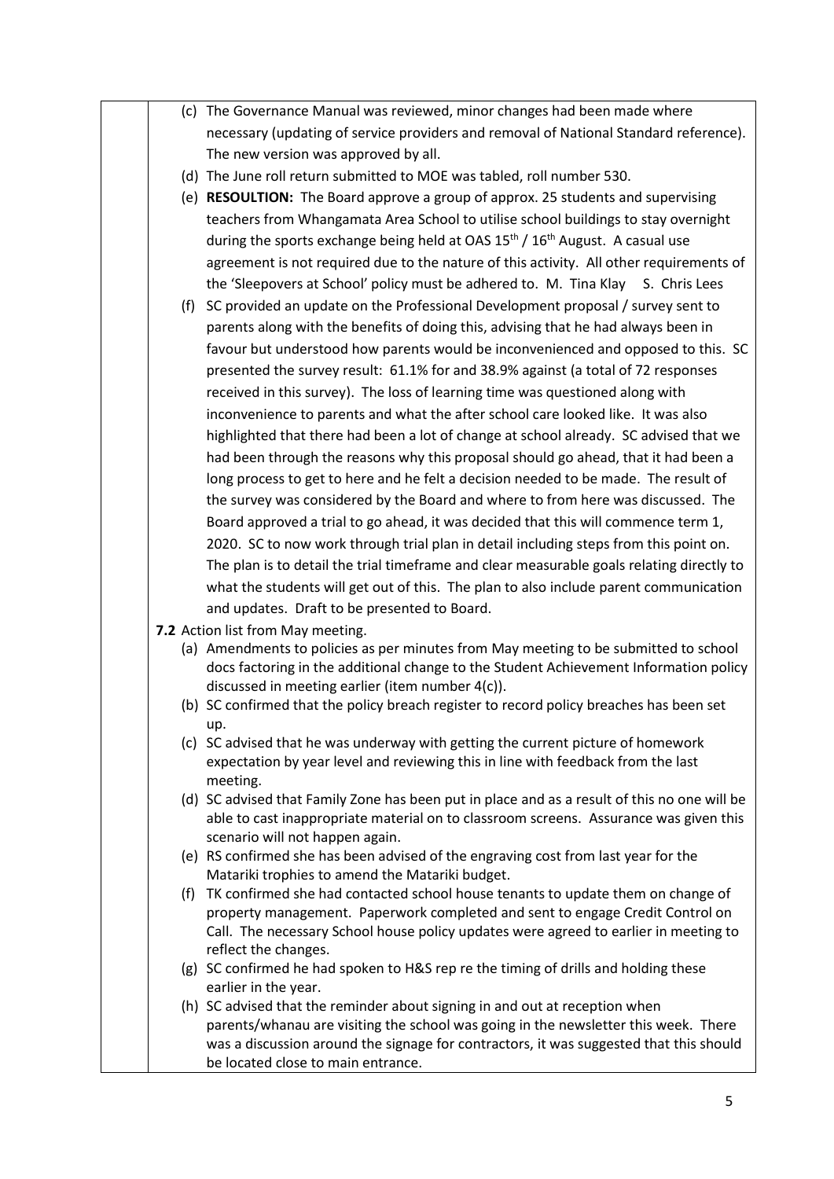(c) The Governance Manual was reviewed, minor changes had been made where necessary (updating of service providers and removal of National Standard reference). The new version was approved by all. (d) The June roll return submitted to MOE was tabled, roll number 530. (e) **RESOULTION:** The Board approve a group of approx. 25 students and supervising teachers from Whangamata Area School to utilise school buildings to stay overnight during the sports exchange being held at OAS  $15<sup>th</sup> / 16<sup>th</sup>$  August. A casual use agreement is not required due to the nature of this activity. All other requirements of the 'Sleepovers at School' policy must be adhered to. M. Tina Klay S. Chris Lees (f) SC provided an update on the Professional Development proposal / survey sent to parents along with the benefits of doing this, advising that he had always been in favour but understood how parents would be inconvenienced and opposed to this. SC presented the survey result: 61.1% for and 38.9% against (a total of 72 responses received in this survey). The loss of learning time was questioned along with inconvenience to parents and what the after school care looked like. It was also highlighted that there had been a lot of change at school already. SC advised that we had been through the reasons why this proposal should go ahead, that it had been a long process to get to here and he felt a decision needed to be made. The result of the survey was considered by the Board and where to from here was discussed. The Board approved a trial to go ahead, it was decided that this will commence term 1, 2020. SC to now work through trial plan in detail including steps from this point on. The plan is to detail the trial timeframe and clear measurable goals relating directly to what the students will get out of this. The plan to also include parent communication and updates. Draft to be presented to Board. **7.2** Action list from May meeting. (a) Amendments to policies as per minutes from May meeting to be submitted to school docs factoring in the additional change to the Student Achievement Information policy discussed in meeting earlier (item number 4(c)). (b) SC confirmed that the policy breach register to record policy breaches has been set up. (c) SC advised that he was underway with getting the current picture of homework expectation by year level and reviewing this in line with feedback from the last meeting. (d) SC advised that Family Zone has been put in place and as a result of this no one will be able to cast inappropriate material on to classroom screens. Assurance was given this scenario will not happen again. (e) RS confirmed she has been advised of the engraving cost from last year for the Matariki trophies to amend the Matariki budget. (f) TK confirmed she had contacted school house tenants to update them on change of property management. Paperwork completed and sent to engage Credit Control on Call. The necessary School house policy updates were agreed to earlier in meeting to reflect the changes. (g) SC confirmed he had spoken to H&S rep re the timing of drills and holding these earlier in the year. (h) SC advised that the reminder about signing in and out at reception when parents/whanau are visiting the school was going in the newsletter this week. There was a discussion around the signage for contractors, it was suggested that this should be located close to main entrance.